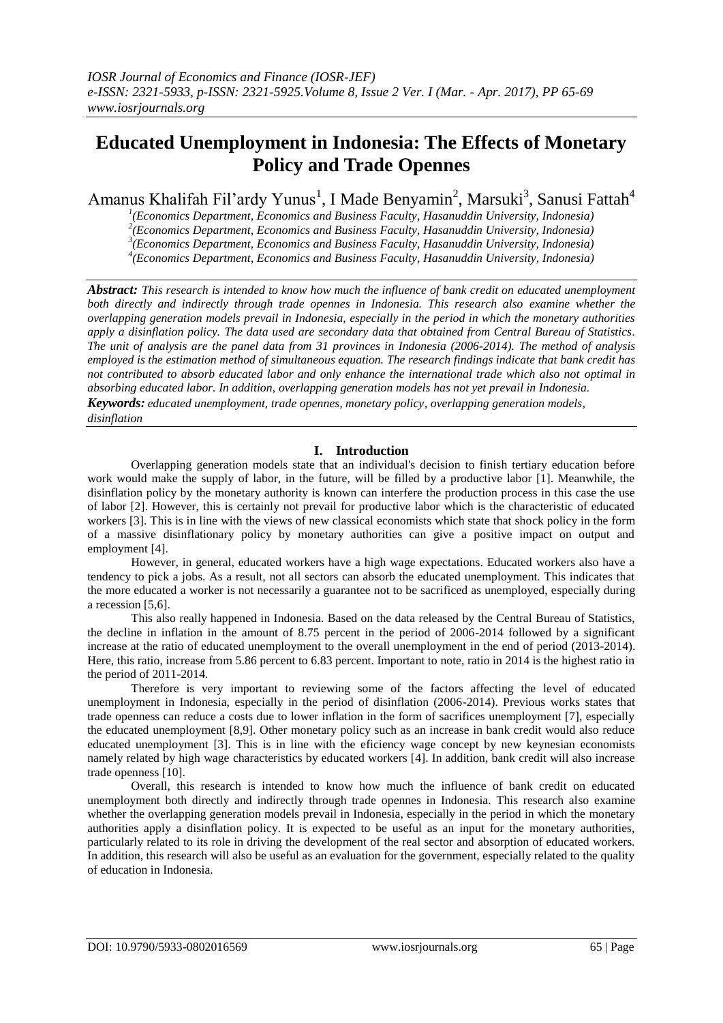# **Educated Unemployment in Indonesia: The Effects of Monetary Policy and Trade Opennes**

Amanus Khalifah Fil'ardy Yunus<sup>1</sup>, I Made Benyamin<sup>2</sup>, Marsuki<sup>3</sup>, Sanusi Fattah<sup>4</sup>

*1 (Economics Department, Economics and Business Faculty, Hasanuddin University, Indonesia) 2 (Economics Department, Economics and Business Faculty, Hasanuddin University, Indonesia)*

*3 (Economics Department, Economics and Business Faculty, Hasanuddin University, Indonesia) 4 (Economics Department, Economics and Business Faculty, Hasanuddin University, Indonesia)*

*Abstract: This research is intended to know how much the influence of bank credit on educated unemployment both directly and indirectly through trade opennes in Indonesia. This research also examine whether the overlapping generation models prevail in Indonesia, especially in the period in which the monetary authorities apply a disinflation policy. The data used are secondary data that obtained from Central Bureau of Statistics. The unit of analysis are the panel data from 31 provinces in Indonesia (2006-2014). The method of analysis employed is the estimation method of simultaneous equation. The research findings indicate that bank credit has not contributed to absorb educated labor and only enhance the international trade which also not optimal in absorbing educated labor. In addition, overlapping generation models has not yet prevail in Indonesia. Keywords: educated unemployment, trade opennes, monetary policy, overlapping generation models,* 

# *disinflation*

# **I. Introduction**

Overlapping generation models state that an individual's decision to finish tertiary education before work would make the supply of labor, in the future, will be filled by a productive labor [1]. Meanwhile, the disinflation policy by the monetary authority is known can interfere the production process in this case the use of labor [2]. However, this is certainly not prevail for productive labor which is the characteristic of educated workers [3]. This is in line with the views of new classical economists which state that shock policy in the form of a massive disinflationary policy by monetary authorities can give a positive impact on output and employment [4].

However, in general, educated workers have a high wage expectations. Educated workers also have a tendency to pick a jobs. As a result, not all sectors can absorb the educated unemployment. This indicates that the more educated a worker is not necessarily a guarantee not to be sacrificed as unemployed, especially during a recession [5,6].

This also really happened in Indonesia. Based on the data released by the Central Bureau of Statistics, the decline in inflation in the amount of 8.75 percent in the period of 2006-2014 followed by a significant increase at the ratio of educated unemployment to the overall unemployment in the end of period (2013-2014). Here, this ratio, increase from 5.86 percent to 6.83 percent. Important to note, ratio in 2014 is the highest ratio in the period of 2011-2014.

Therefore is very important to reviewing some of the factors affecting the level of educated unemployment in Indonesia, especially in the period of disinflation (2006-2014). Previous works states that trade openness can reduce a costs due to lower inflation in the form of sacrifices unemployment [7], especially the educated unemployment [8,9]. Other monetary policy such as an increase in bank credit would also reduce educated unemployment [3]. This is in line with the eficiency wage concept by new keynesian economists namely related by high wage characteristics by educated workers [4]. In addition, bank credit will also increase trade openness [10].

Overall, this research is intended to know how much the influence of bank credit on educated unemployment both directly and indirectly through trade opennes in Indonesia. This research also examine whether the overlapping generation models prevail in Indonesia, especially in the period in which the monetary authorities apply a disinflation policy. It is expected to be useful as an input for the monetary authorities, particularly related to its role in driving the development of the real sector and absorption of educated workers. In addition, this research will also be useful as an evaluation for the government, especially related to the quality of education in Indonesia.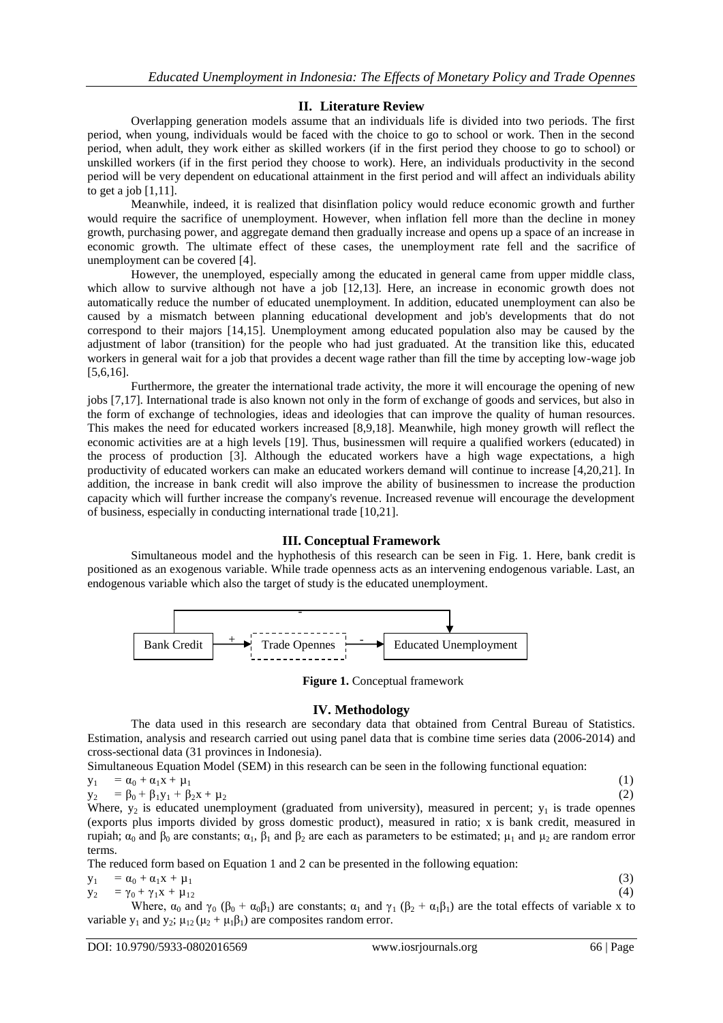# **II. Literature Review**

Overlapping generation models assume that an individuals life is divided into two periods. The first period, when young, individuals would be faced with the choice to go to school or work. Then in the second period, when adult, they work either as skilled workers (if in the first period they choose to go to school) or unskilled workers (if in the first period they choose to work). Here, an individuals productivity in the second period will be very dependent on educational attainment in the first period and will affect an individuals ability to get a job  $[1,11]$ .

Meanwhile, indeed, it is realized that disinflation policy would reduce economic growth and further would require the sacrifice of unemployment. However, when inflation fell more than the decline in money growth, purchasing power, and aggregate demand then gradually increase and opens up a space of an increase in economic growth. The ultimate effect of these cases, the unemployment rate fell and the sacrifice of unemployment can be covered [4].

However, the unemployed, especially among the educated in general came from upper middle class, which allow to survive although not have a job [12,13]. Here, an increase in economic growth does not automatically reduce the number of educated unemployment. In addition, educated unemployment can also be caused by a mismatch between planning educational development and job's developments that do not correspond to their majors [14,15]. Unemployment among educated population also may be caused by the adjustment of labor (transition) for the people who had just graduated. At the transition like this, educated workers in general wait for a job that provides a decent wage rather than fill the time by accepting low-wage job [5,6,16].

Furthermore, the greater the international trade activity, the more it will encourage the opening of new jobs [7,17]. International trade is also known not only in the form of exchange of goods and services, but also in the form of exchange of technologies, ideas and ideologies that can improve the quality of human resources. This makes the need for educated workers increased [8,9,18]. Meanwhile, high money growth will reflect the economic activities are at a high levels [19]. Thus, businessmen will require a qualified workers (educated) in the process of production [3]. Although the educated workers have a high wage expectations, a high productivity of educated workers can make an educated workers demand will continue to increase [4,20,21]. In addition, the increase in bank credit will also improve the ability of businessmen to increase the production capacity which will further increase the company's revenue. Increased revenue will encourage the development of business, especially in conducting international trade [10,21].

## **III. Conceptual Framework**

Simultaneous model and the hyphothesis of this research can be seen in Fig. 1. Here, bank credit is positioned as an exogenous variable. While trade openness acts as an intervening endogenous variable. Last, an endogenous variable which also the target of study is the educated unemployment.



**Figure 1.** Conceptual framework

# **IV. Methodology**

The data used in this research are secondary data that obtained from Central Bureau of Statistics. Estimation, analysis and research carried out using panel data that is combine time series data (2006-2014) and cross-sectional data (31 provinces in Indonesia).

Simultaneous Equation Model (SEM) in this research can be seen in the following functional equation:

$$
y_1 = \alpha_0 + \alpha_1 x + \mu_1
$$
  
\n
$$
y_2 = \beta_0 + \beta_1 y_1 + \beta_2 x + \mu_2
$$
\n(1)

Where,  $y_2$  is educated unemployment (graduated from university), measured in percent;  $y_1$  is trade opennes (exports plus imports divided by gross domestic product), measured in ratio; x is bank credit, measured in rupiah;  $\alpha_0$  and  $\beta_0$  are constants;  $\alpha_1$ ,  $\beta_1$  and  $\beta_2$  are each as parameters to be estimated; μ<sub>1</sub> and μ<sub>2</sub> are random error terms.

The reduced form based on Equation 1 and 2 can be presented in the following equation:

| $y_1 = \alpha_0 + \alpha_1 x + \mu_1$    | (3) |
|------------------------------------------|-----|
| $y_2 = \gamma_0 + \gamma_1 x + \mu_{12}$ | (4) |

Where,  $\alpha_0$  and  $\gamma_0$  ( $\beta_0 + \alpha_0 \beta_1$ ) are constants;  $\alpha_1$  and  $\gamma_1$  ( $\beta_2 + \alpha_1 \beta_1$ ) are the total effects of variable x to variable  $y_1$  and  $y_2$ ;  $\mu_{12}$  ( $\mu_2 + \mu_1\beta_1$ ) are composites random error.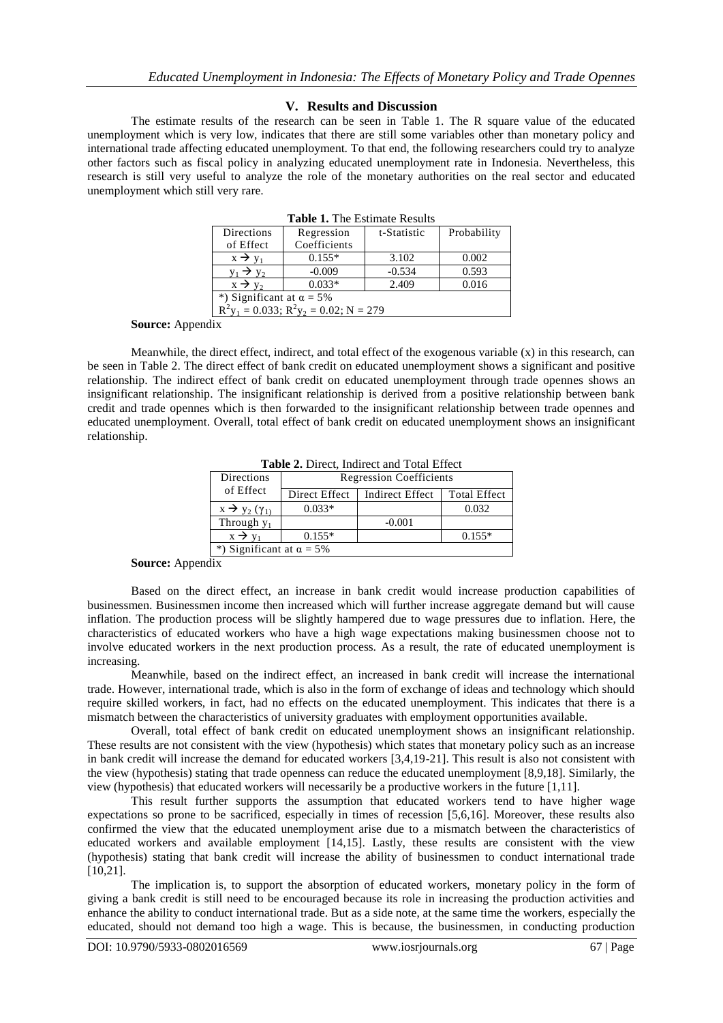## **V. Results and Discussion**

The estimate results of the research can be seen in Table 1. The R square value of the educated unemployment which is very low, indicates that there are still some variables other than monetary policy and international trade affecting educated unemployment. To that end, the following researchers could try to analyze other factors such as fiscal policy in analyzing educated unemployment rate in Indonesia. Nevertheless, this research is still very useful to analyze the role of the monetary authorities on the real sector and educated unemployment which still very rare.

| Tuble 1: The Estimate Results                                      |              |             |             |
|--------------------------------------------------------------------|--------------|-------------|-------------|
| Directions                                                         | Regression   | t-Statistic | Probability |
| of Effect                                                          | Coefficients |             |             |
| $x \rightarrow y_1$                                                | $0.155*$     | 3.102       | 0.002       |
| $y_1 \rightarrow y_2$                                              | $-0.009$     | $-0.534$    | 0.593       |
| $x \rightarrow y_2$                                                | $0.033*$     | 2.409       | 0.016       |
| *) Significant at $\alpha = 5\%$                                   |              |             |             |
| $R^2$ y <sub>1</sub> = 0.033; $R^2$ y <sub>2</sub> = 0.02; N = 279 |              |             |             |
|                                                                    |              |             |             |

**Table 1.** The Estimate Results

**Source:** Appendix

Meanwhile, the direct effect, indirect, and total effect of the exogenous variable  $(x)$  in this research, can be seen in Table 2. The direct effect of bank credit on educated unemployment shows a significant and positive relationship. The indirect effect of bank credit on educated unemployment through trade opennes shows an insignificant relationship. The insignificant relationship is derived from a positive relationship between bank credit and trade opennes which is then forwarded to the insignificant relationship between trade opennes and educated unemployment. Overall, total effect of bank credit on educated unemployment shows an insignificant relationship.

**Table 2.** Direct, Indirect and Total Effect

| Directions                | <b>Regression Coefficients</b>   |                        |                     |
|---------------------------|----------------------------------|------------------------|---------------------|
| of Effect                 | Direct Effect                    | <b>Indirect Effect</b> | <b>Total Effect</b> |
| $x \rightarrow y_2 (y_1)$ | $0.033*$                         |                        | 0.032               |
| Through $y_1$             |                                  | $-0.001$               |                     |
| $x \rightarrow v_1$       | $0.155*$                         |                        | $0.155*$            |
|                           | *) Significant at $\alpha = 5\%$ |                        |                     |

**Source:** Appendix

Based on the direct effect, an increase in bank credit would increase production capabilities of businessmen. Businessmen income then increased which will further increase aggregate demand but will cause inflation. The production process will be slightly hampered due to wage pressures due to inflation. Here, the characteristics of educated workers who have a high wage expectations making businessmen choose not to involve educated workers in the next production process. As a result, the rate of educated unemployment is increasing.

Meanwhile, based on the indirect effect, an increased in bank credit will increase the international trade. However, international trade, which is also in the form of exchange of ideas and technology which should require skilled workers, in fact, had no effects on the educated unemployment. This indicates that there is a mismatch between the characteristics of university graduates with employment opportunities available.

Overall, total effect of bank credit on educated unemployment shows an insignificant relationship. These results are not consistent with the view (hypothesis) which states that monetary policy such as an increase in bank credit will increase the demand for educated workers [3,4,19-21]. This result is also not consistent with the view (hypothesis) stating that trade openness can reduce the educated unemployment [8,9,18]. Similarly, the view (hypothesis) that educated workers will necessarily be a productive workers in the future [1,11].

This result further supports the assumption that educated workers tend to have higher wage expectations so prone to be sacrificed, especially in times of recession [5,6,16]. Moreover, these results also confirmed the view that the educated unemployment arise due to a mismatch between the characteristics of educated workers and available employment [14,15]. Lastly, these results are consistent with the view (hypothesis) stating that bank credit will increase the ability of businessmen to conduct international trade [10,21].

The implication is, to support the absorption of educated workers, monetary policy in the form of giving a bank credit is still need to be encouraged because its role in increasing the production activities and enhance the ability to conduct international trade. But as a side note, at the same time the workers, especially the educated, should not demand too high a wage. This is because, the businessmen, in conducting production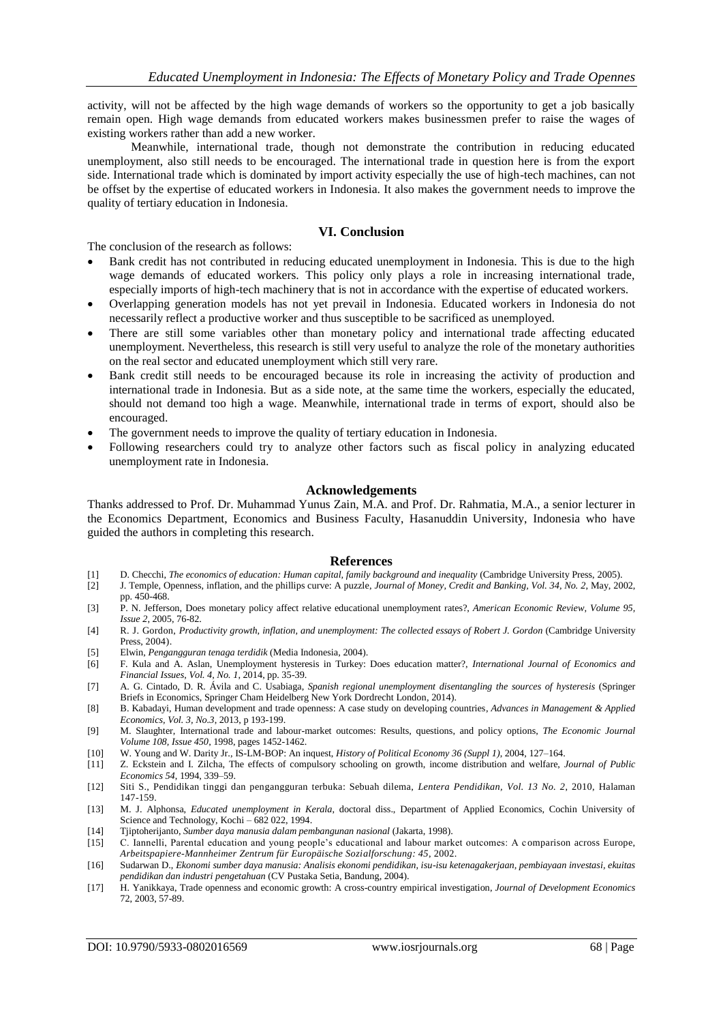activity, will not be affected by the high wage demands of workers so the opportunity to get a job basically remain open. High wage demands from educated workers makes businessmen prefer to raise the wages of existing workers rather than add a new worker.

Meanwhile, international trade, though not demonstrate the contribution in reducing educated unemployment, also still needs to be encouraged. The international trade in question here is from the export side. International trade which is dominated by import activity especially the use of high-tech machines, can not be offset by the expertise of educated workers in Indonesia. It also makes the government needs to improve the quality of tertiary education in Indonesia.

# **VI. Conclusion**

The conclusion of the research as follows:

- Bank credit has not contributed in reducing educated unemployment in Indonesia. This is due to the high wage demands of educated workers. This policy only plays a role in increasing international trade, especially imports of high-tech machinery that is not in accordance with the expertise of educated workers.
- Overlapping generation models has not yet prevail in Indonesia. Educated workers in Indonesia do not necessarily reflect a productive worker and thus susceptible to be sacrificed as unemployed.
- There are still some variables other than monetary policy and international trade affecting educated unemployment. Nevertheless, this research is still very useful to analyze the role of the monetary authorities on the real sector and educated unemployment which still very rare.
- Bank credit still needs to be encouraged because its role in increasing the activity of production and international trade in Indonesia. But as a side note, at the same time the workers, especially the educated, should not demand too high a wage. Meanwhile, international trade in terms of export, should also be encouraged.
- The government needs to improve the quality of tertiary education in Indonesia.
- Following researchers could try to analyze other factors such as fiscal policy in analyzing educated unemployment rate in Indonesia.

#### **Acknowledgements**

Thanks addressed to Prof. Dr. Muhammad Yunus Zain, M.A. and Prof. Dr. Rahmatia, M.A., a senior lecturer in the Economics Department, Economics and Business Faculty, Hasanuddin University, Indonesia who have guided the authors in completing this research.

#### **References**

- [1] D. Checchi, *The economics of education: Human capital, family background and inequality* (Cambridge University Press, 2005).
- [2] J. Temple, Openness, inflation, and the phillips curve: A puzzle, *Journal of Money, Credit and Banking, Vol. 34, No. 2*, May, 2002, pp. 450-468.
- [3] P. N. Jefferson, Does monetary policy affect relative educational unemployment rates?, *American Economic Review, Volume 95, Issue 2*, 2005, 76-82.
- [4] R. J. Gordon, *Productivity growth, inflation, and unemployment: The collected essays of Robert J. Gordon* (Cambridge University Press, 2004).
- [5] Elwin, *Pengangguran tenaga terdidik* (Media Indonesia, 2004).
- [6] F. Kula and A. Aslan, Unemployment hysteresis in Turkey: Does education matter?, *International Journal of Economics and Financial Issues, Vol. 4, No. 1*, 2014, pp. 35-39.
- [7] A. G. Cintado, D. R. Ávila and C. Usabiaga, *Spanish regional unemployment disentangling the sources of hysteresis* (Springer Briefs in Economics, Springer Cham Heidelberg New York Dordrecht London, 2014).
- [8] B. Kabadayi, Human development and trade openness: A case study on developing countries, *Advances in Management & Applied Economics, Vol. 3, No.3*, 2013, p 193-199.
- [9] M. Slaughter, International trade and labour-market outcomes: Results, questions, and policy options, *The Economic Journal Volume 108, Issue 450*, 1998, pages 1452-1462.
- [10] W. Young and W[. Darity Jr.,](http://id.wikipedia.org/w/index.php?title=Sandy_Darity,_Jr.&action=edit&redlink=1) [IS-LM-BOP: An](http://www.econ.ucdavis.edu/faculty/kdhoover/pdf/Hope/Young.pdf) inquest, *History of Political Economy 36 (Suppl 1)*, 2004, 127–164.
- [11] Z. Eckstein and I. Zilcha, The effects of compulsory schooling on growth, income distribution and welfare, *Journal of Public Economics 54*, 1994, 339–59.
- [12] Siti S., Pendidikan tinggi dan pengangguran terbuka: Sebuah dilema, *Lentera Pendidikan, Vol. 13 No. 2*, 2010, Halaman 147-159.
- [13] M. J. Alphonsa, *Educated unemployment in Kerala*, doctoral diss., Department of Applied Economics, Cochin University of Science and Technology, Kochi – 682 022, 1994.
- [14] Tjiptoherijanto, *Sumber daya manusia dalam pembangunan nasional* (Jakarta, 1998).
- [15] C. Iannelli, Parental education and young people's educational and labour market outcomes: A c omparison across Europe, *Arbeitspapiere-Mannheimer Zentrum für Europäische Sozialforschung: 45*, 2002.
- [16] Sudarwan D., *Ekonomi sumber daya manusia: Analisis ekonomi pendidikan, isu-isu ketenagakerjaan, pembiayaan investasi, ekuitas pendidikan dan industri pengetahuan* (CV Pustaka Setia, Bandung, 2004).
- [17] H. Yanikkaya, Trade openness and economic growth: A cross-country empirical investigation, *Journal of Development Economics* 72, 2003, 57-89.